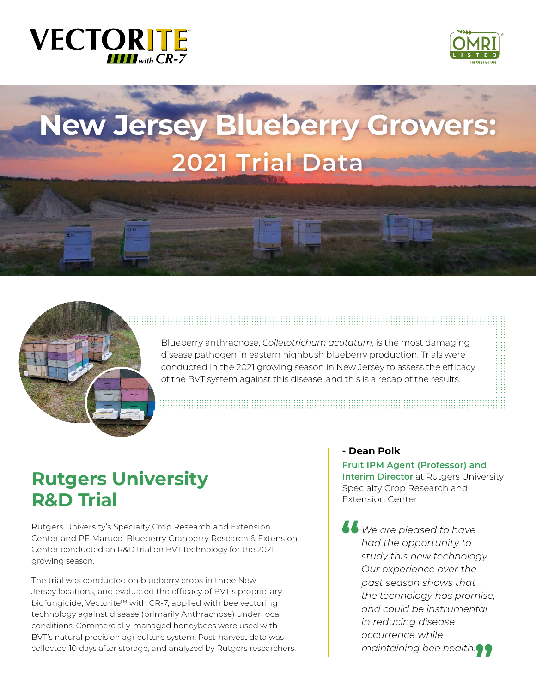# **VECTORITE**



# **New Jersey Blueberry Growers: 2021 Trial Data**



Blueberry anthracnose, *Colletotrichum acutatum*, is the most damaging disease pathogen in eastern highbush blueberry production. Trials were conducted in the 2021 growing season in New Jersey to assess the efficacy of the BVT system against this disease, and this is a recap of the results.

# **Rutgers University R&D Trial**

Rutgers University's Specialty Crop Research and Extension Center and PE Marucci Blueberry Cranberry Research & Extension Center conducted an R&D trial on BVT technology for the 2021 growing season.

The trial was conducted on blueberry crops in three New Jersey locations, and evaluated the efficacy of BVT's proprietary biofungicide, Vectorite™ with CR-7, applied with bee vectoring technology against disease (primarily Anthracnose) under local conditions. Commercially-managed honeybees were used with BVT's natural precision agriculture system. Post-harvest data was collected 10 days after storage, and analyzed by Rutgers researchers.

#### **- Dean Polk**

**Fruit IPM Agent (Professor) and Interim Director** at Rutgers University Specialty Crop Research and Extension Center

*We are pleased to have had the opportunity to study this new technology. Our experience over the past season shows that the technology has promise, and could be instrumental in reducing disease occurrence while maintaining bee health.*